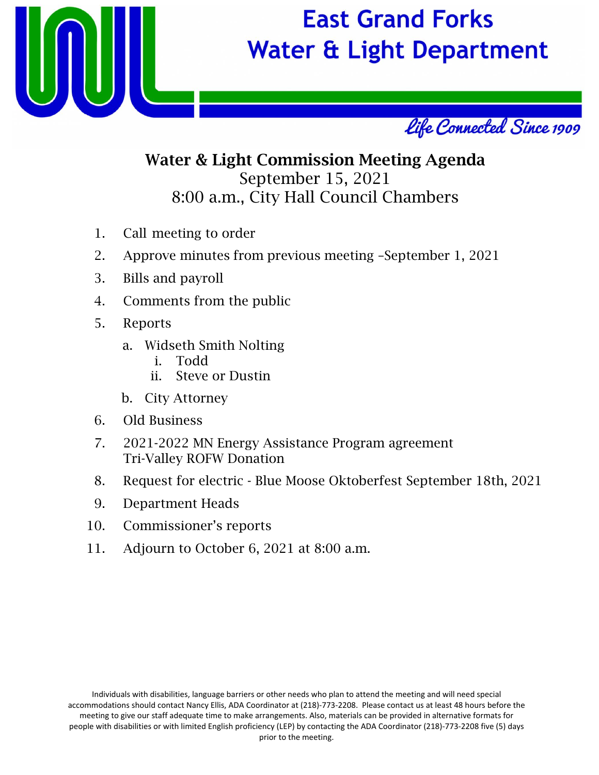

# **East Grand Forks Water & Light Department**



## Water & Light Commission Meeting Agenda September 15, 2021 8:00 a.m., City Hall Council Chambers

- 1. Call meeting to order
- 2. Approve minutes from previous meeting –September 1, 2021
- 3. Bills and payroll
- 4. Comments from the public
- 5. Reports
	- a. Widseth Smith Nolting
		- i. Todd
		- ii. Steve or Dustin
	- b. City Attorney
- 6. Old Business
- 7. 2021-2022 MN Energy Assistance Program agreement Tri-Valley ROFW Donation
- 8. Request for electric Blue Moose Oktoberfest September 18th, 2021
- 9. Department Heads
- 10. Commissioner's reports
- 11. Adjourn to October 6, 2021 at 8:00 a.m.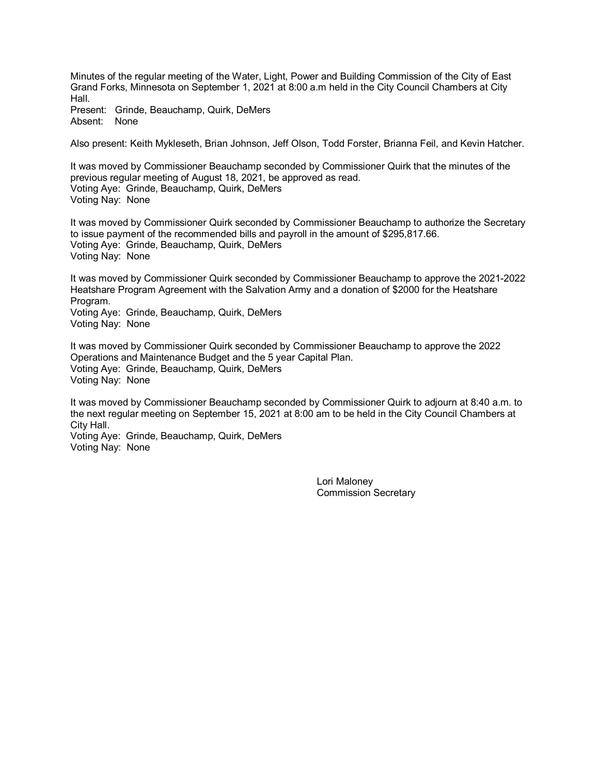Minutes of the regular meeting of the Water, Light, Power and Building Commission of the City of East Grand Forks, Minnesota on September 1, 2021 at 8:00 a.m held in the City Council Chambers at City Hall.

Present: Grinde, Beauchamp, Quirk, DeMers Absent: None

Also present: Keith Mykleseth, Brian Johnson, Jeff Olson, Todd Forster, Brianna Feil, and Kevin Hatcher.

It was moved by Commissioner Beauchamp seconded by Commissioner Quirk that the minutes of the previous regular meeting of August 18, 2021, be approved as read. Voting Aye: Grinde, Beauchamp, Quirk, DeMers Voting Nay: None

It was moved by Commissioner Quirk seconded by Commissioner Beauchamp to authorize the Secretary to issue payment of the recommended bills and payroll in the amount of \$295,817.66. Voting Aye: Grinde, Beauchamp, Quirk, DeMers Voting Nay: None

It was moved by Commissioner Quirk seconded by Commissioner Beauchamp to approve the 2021-2022 Heatshare Program Agreement with the Salvation Army and a donation of \$2000 for the Heatshare Program.

Voting Aye: Grinde, Beauchamp, Quirk, DeMers Voting Nay: None

It was moved by Commissioner Quirk seconded by Commissioner Beauchamp to approve the 2022 Operations and Maintenance Budget and the 5 year Capital Plan. Voting Aye: Grinde, Beauchamp, Quirk, DeMers Voting Nay: None

It was moved by Commissioner Beauchamp seconded by Commissioner Quirk to adjourn at 8:40 a.m. to the next regular meeting on September 15, 2021 at 8:00 am to be held in the City Council Chambers at City Hall.

Voting Aye: Grinde, Beauchamp, Quirk, DeMers Voting Nay: None

> Lori Maloney Commission Secretary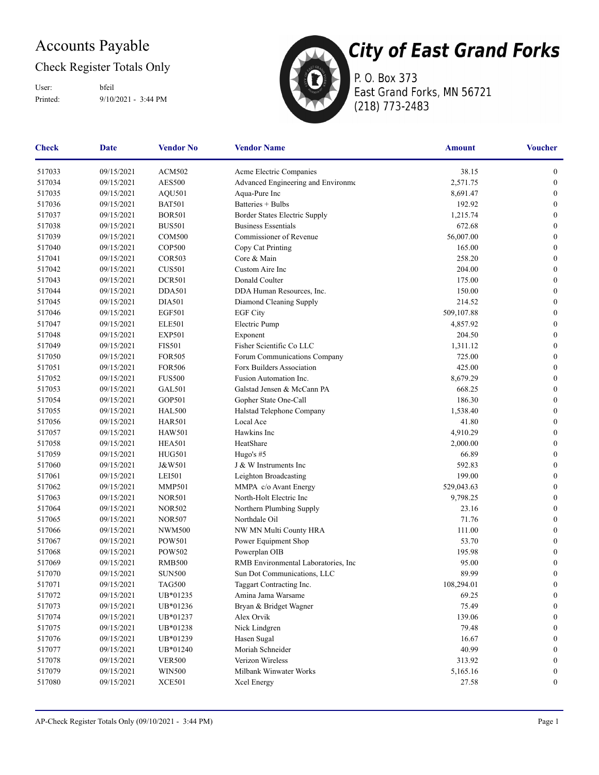### Accounts Payable

### Check Register Totals Only

Printed: 9/10/2021 - 3:44 PM User: bfeil



P. O. Box 373 East Grand Forks, MN 56721 (218) 773-2483

| <b>Check</b> | <b>Vendor Name</b><br><b>Date</b><br><b>Vendor No</b> |                                | <b>Amount</b>                       | <b>Voucher</b>  |                  |
|--------------|-------------------------------------------------------|--------------------------------|-------------------------------------|-----------------|------------------|
| 517033       | 09/15/2021                                            | <b>ACM502</b>                  | Acme Electric Companies             | 38.15           | $\boldsymbol{0}$ |
| 517034       | 09/15/2021                                            | <b>AES500</b>                  | Advanced Engineering and Environme  | 2,571.75        | $\boldsymbol{0}$ |
| 517035       | 09/15/2021                                            | AQU501                         | Aqua-Pure Inc                       | 8,691.47        | $\boldsymbol{0}$ |
| 517036       | 09/15/2021                                            | <b>BAT501</b>                  | Batteries + Bulbs                   | 192.92          | $\boldsymbol{0}$ |
| 517037       | 09/15/2021                                            | <b>BOR501</b>                  | Border States Electric Supply       | 1,215.74        | $\boldsymbol{0}$ |
| 517038       | 09/15/2021                                            | <b>BUS501</b>                  | <b>Business Essentials</b>          | 672.68          | $\boldsymbol{0}$ |
| 517039       | 09/15/2021                                            | <b>COM500</b>                  | Commissioner of Revenue             | 56,007.00       | $\boldsymbol{0}$ |
| 517040       | 09/15/2021                                            | <b>COP500</b>                  | Copy Cat Printing                   | 165.00          | $\boldsymbol{0}$ |
| 517041       | 09/15/2021                                            | <b>COR503</b>                  | Core & Main                         | 258.20          | $\boldsymbol{0}$ |
| 517042       | 09/15/2021                                            | <b>CUS501</b>                  | Custom Aire Inc                     | 204.00          | $\boldsymbol{0}$ |
| 517043       | 09/15/2021                                            | <b>DCR501</b>                  | Donald Coulter                      | 175.00          | $\boldsymbol{0}$ |
| 517044       | 09/15/2021                                            | <b>DDA501</b>                  | DDA Human Resources, Inc.           | 150.00          | $\boldsymbol{0}$ |
| 517045       | 09/15/2021                                            | <b>DIA501</b>                  | Diamond Cleaning Supply             | 214.52          | $\boldsymbol{0}$ |
| 517046       | 09/15/2021                                            | <b>EGF501</b>                  | <b>EGF City</b>                     | 509,107.88      | $\boldsymbol{0}$ |
| 517047       | 09/15/2021                                            | <b>ELE501</b>                  | Electric Pump                       | 4,857.92        | $\boldsymbol{0}$ |
| 517048       | 09/15/2021                                            | <b>EXP501</b>                  | Exponent                            | 204.50          | $\boldsymbol{0}$ |
| 517049       | 09/15/2021                                            | <b>FIS501</b>                  | Fisher Scientific Co LLC            | 1,311.12        | $\boldsymbol{0}$ |
| 517050       | 09/15/2021                                            | <b>FOR505</b>                  | Forum Communications Company        | 725.00          | $\boldsymbol{0}$ |
| 517051       | 09/15/2021                                            | <b>FOR506</b>                  | Forx Builders Association           | 425.00          | $\boldsymbol{0}$ |
| 517052       | 09/15/2021                                            | <b>FUS500</b>                  | Fusion Automation Inc.              | 8,679.29        | $\boldsymbol{0}$ |
| 517053       | 09/15/2021                                            | GAL501                         | Galstad Jensen & McCann PA          | 668.25          | $\boldsymbol{0}$ |
| 517054       | 09/15/2021                                            | GOP501                         | Gopher State One-Call               | 186.30          | $\boldsymbol{0}$ |
| 517055       | 09/15/2021                                            | <b>HAL500</b>                  | Halstad Telephone Company           | 1,538.40        | $\bf{0}$         |
| 517056       | 09/15/2021                                            | <b>HAR501</b>                  | Local Ace                           | 41.80           | $\bf{0}$         |
|              |                                                       |                                | Hawkins Inc                         | 4,910.29        | $\boldsymbol{0}$ |
| 517057       | 09/15/2021                                            | <b>HAW501</b><br><b>HEA501</b> | HeatShare                           |                 |                  |
| 517058       | 09/15/2021                                            |                                |                                     | 2,000.00        | $\boldsymbol{0}$ |
| 517059       | 09/15/2021                                            | <b>HUG501</b>                  | Hugo's $#5$                         | 66.89<br>592.83 | $\boldsymbol{0}$ |
| 517060       | 09/15/2021                                            | J&W501                         | J & W Instruments Inc               |                 | $\boldsymbol{0}$ |
| 517061       | 09/15/2021                                            | <b>LEI501</b>                  | Leighton Broadcasting               | 199.00          | $\boldsymbol{0}$ |
| 517062       | 09/15/2021                                            | <b>MMP501</b>                  | MMPA c/o Avant Energy               | 529,043.63      | $\boldsymbol{0}$ |
| 517063       | 09/15/2021                                            | <b>NOR501</b>                  | North-Holt Electric Inc             | 9,798.25        | $\boldsymbol{0}$ |
| 517064       | 09/15/2021                                            | <b>NOR502</b>                  | Northern Plumbing Supply            | 23.16           | $\boldsymbol{0}$ |
| 517065       | 09/15/2021                                            | <b>NOR507</b>                  | Northdale Oil                       | 71.76           | $\boldsymbol{0}$ |
| 517066       | 09/15/2021                                            | <b>NWM500</b>                  | NW MN Multi County HRA              | 111.00          | $\boldsymbol{0}$ |
| 517067       | 09/15/2021                                            | <b>POW501</b>                  | Power Equipment Shop                | 53.70           | $\boldsymbol{0}$ |
| 517068       | 09/15/2021                                            | POW502                         | Powerplan OIB                       | 195.98          | $\boldsymbol{0}$ |
| 517069       | 09/15/2021                                            | <b>RMB500</b>                  | RMB Environmental Laboratories, Inc | 95.00           | $\bf{0}$         |
| 517070       | 09/15/2021                                            | <b>SUN500</b>                  | Sun Dot Communications, LLC         | 89.99           | $\boldsymbol{0}$ |
| 517071       | 09/15/2021                                            | $\rm TAG500$                   | Taggart Contracting Inc.            | 108,294.01      | $\boldsymbol{0}$ |
| 517072       | 09/15/2021                                            | UB*01235                       | Amina Jama Warsame                  | 69.25           | $\boldsymbol{0}$ |
| 517073       | 09/15/2021                                            | UB*01236                       | Bryan & Bridget Wagner              | 75.49           | $\boldsymbol{0}$ |
| 517074       | 09/15/2021                                            | UB*01237                       | Alex Orvik                          | 139.06          | $\bf{0}$         |
| 517075       | 09/15/2021                                            | UB*01238                       | Nick Lindgren                       | 79.48           | $\bf{0}$         |
| 517076       | 09/15/2021                                            | UB*01239                       | Hasen Sugal                         | 16.67           | $\bf{0}$         |
| 517077       | 09/15/2021                                            | UB*01240                       | Moriah Schneider<br>40.99           |                 | $\mathbf{0}$     |
| 517078       | 09/15/2021                                            | <b>VER500</b>                  | Verizon Wireless<br>313.92          |                 | $\bf{0}$         |
| 517079       | 09/15/2021                                            | <b>WIN500</b>                  | Milbank Winwater Works              | 5,165.16        | $\boldsymbol{0}$ |
| 517080       | 09/15/2021                                            | <b>XCE501</b>                  | Xcel Energy                         | 27.58           | $\boldsymbol{0}$ |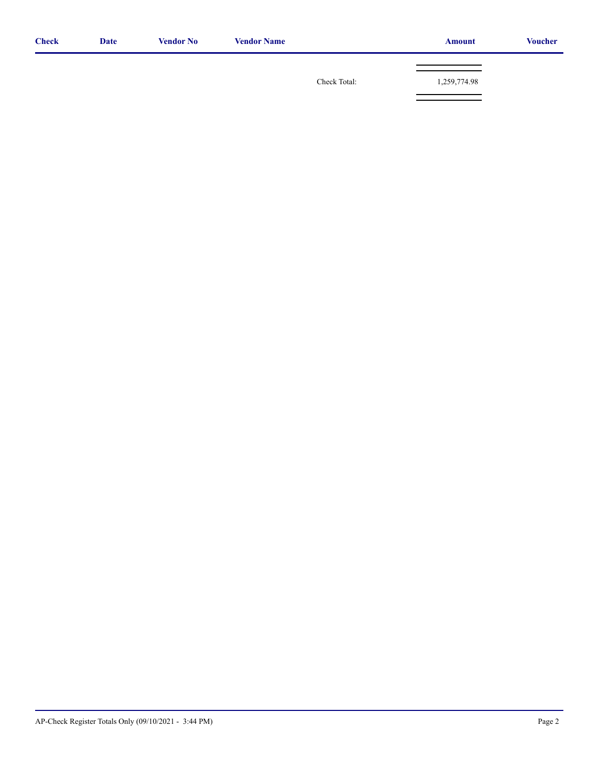| <b>Check</b> | <b>Date</b> | <b>Vendor No</b> | <b>Vendor Name</b> |              | <b>Amount</b> | <b>Voucher</b> |
|--------------|-------------|------------------|--------------------|--------------|---------------|----------------|
|              |             |                  |                    | Check Total: | 1,259,774.98  |                |
|              |             |                  |                    |              |               |                |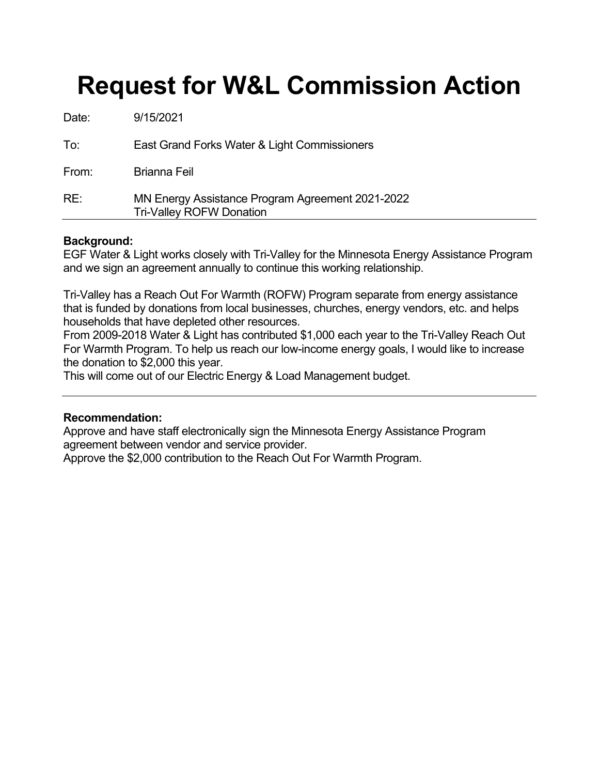## **Request for W&L Commission Action**

| RE:   | MN Energy Assistance Program Agreement 2021-2022<br><b>Tri-Valley ROFW Donation</b> |
|-------|-------------------------------------------------------------------------------------|
| From: | <b>Brianna Feil</b>                                                                 |
| To:   | East Grand Forks Water & Light Commissioners                                        |
| Date: | 9/15/2021                                                                           |

#### **Background:**

EGF Water & Light works closely with Tri-Valley for the Minnesota Energy Assistance Program and we sign an agreement annually to continue this working relationship.

Tri-Valley has a Reach Out For Warmth (ROFW) Program separate from energy assistance that is funded by donations from local businesses, churches, energy vendors, etc. and helps households that have depleted other resources.

From 2009-2018 Water & Light has contributed \$1,000 each year to the Tri-Valley Reach Out For Warmth Program. To help us reach our low-income energy goals, I would like to increase the donation to \$2,000 this year.

This will come out of our Electric Energy & Load Management budget.

#### **Recommendation:**

Approve and have staff electronically sign the Minnesota Energy Assistance Program agreement between vendor and service provider.

Approve the \$2,000 contribution to the Reach Out For Warmth Program.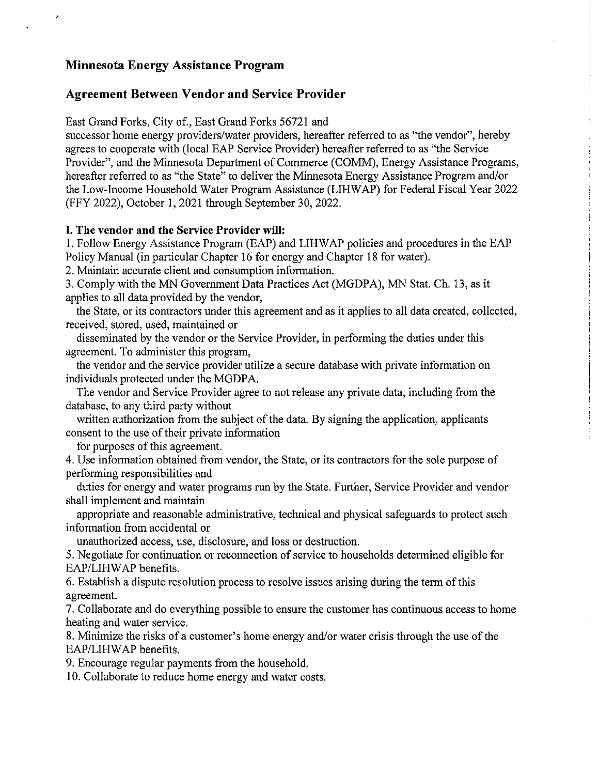#### **Minnesota Energy Assistance Program**

#### **Agreement Between Vendor and Service Provider**

East Grand Forks, City of., East Grand Forks 56721 and

successor home energy providers/water providers, hereafter referred to as "the vendor", hereby agrees to cooperate with (local EAP Service Provider) hereafter referred to as "the Service Provider", and the Minnesota Department of Commerce (COMM), Energy Assistance Programs, hereafter referred to as "the State" to deliver the Minnesota Energy Assistance Program and/or the Low-Income Household Water Program Assistance (LIHWAP) for Federal Fiscal Year 2022 (FFY 2022), October 1, 2021 through September 30, 2022.

#### I. The vendor and the Service Provider will:

1. Follow Energy Assistance Program (EAP) and LIHWAP policies and procedures in the EAP Policy Manual (in particular Chapter 16 for energy and Chapter 18 for water).

2. Maintain accurate client and consumption information.

3. Comply with the MN Government Data Practices Act (MGDPA), MN Stat. Ch. 13, as it applies to all data provided by the vendor,

the State, or its contractors under this agreement and as it applies to all data created, collected, received, stored, used, maintained or

disseminated by the vendor or the Service Provider, in performing the duties under this agreement. To administer this program,

the vendor and the service provider utilize a secure database with private information on individuals protected under the MGDPA.

The vendor and Service Provider agree to not release any private data, including from the database, to any third party without

written authorization from the subject of the data. By signing the application, applicants consent to the use of their private information

for purposes of this agreement.

4. Use information obtained from vendor, the State, or its contractors for the sole purpose of performing responsibilities and

duties for energy and water programs run by the State. Further, Service Provider and vendor shall implement and maintain

appropriate and reasonable administrative, technical and physical safeguards to protect such information from accidental or

unauthorized access, use, disclosure, and loss or destruction.

5. Negotiate for continuation or reconnection of service to households determined eligible for EAP/LIHWAP benefits.

6. Establish a dispute resolution process to resolve issues arising during the term of this agreement.

7. Collaborate and do everything possible to ensure the customer has continuous access to home heating and water service.

8. Minimize the risks of a customer's home energy and/or water crisis through the use of the EAP/LIHWAP benefits.

9. Encourage regular payments from the household.

10. Collaborate to reduce home energy and water costs.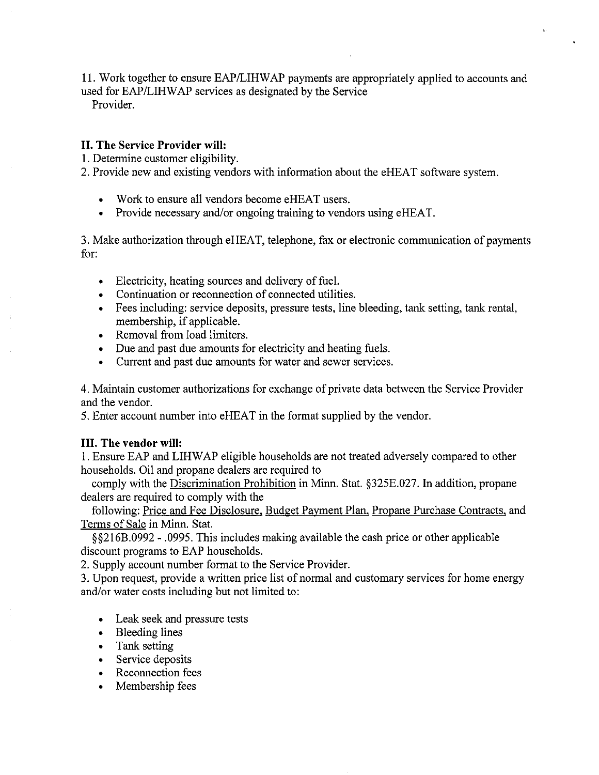11. Work together to ensure EAP/LIHWAP payments are appropriately applied to accounts and used for EAP/LIHWAP services as designated by the Service

Provider.

#### II. The Service Provider will:

1. Determine customer eligibility.

2. Provide new and existing vendors with information about the eHEAT software system.

- Work to ensure all vendors become eHEAT users.
- Provide necessary and/or ongoing training to vendors using eHEAT.  $\bullet$

3. Make authorization through eHEAT, telephone, fax or electronic communication of payments for:

- Electricity, heating sources and delivery of fuel.
- Continuation or reconnection of connected utilities.
- Fees including: service deposits, pressure tests, line bleeding, tank setting, tank rental, membership, if applicable.
- Removal from load limiters.
- Due and past due amounts for electricity and heating fuels.
- Current and past due amounts for water and sewer services.

4. Maintain customer authorizations for exchange of private data between the Service Provider and the vendor.

5. Enter account number into eHEAT in the format supplied by the vendor.

#### **III.** The vendor will:

1. Ensure EAP and LIHWAP eligible households are not treated adversely compared to other households. Oil and propane dealers are required to

comply with the Discrimination Prohibition in Minn. Stat. §325E.027. In addition, propane dealers are required to comply with the

following: Price and Fee Disclosure, Budget Payment Plan, Propane Purchase Contracts, and Terms of Sale in Minn. Stat.

§§216B.0992 - .0995. This includes making available the cash price or other applicable discount programs to EAP households.

2. Supply account number format to the Service Provider.

3. Upon request, provide a written price list of normal and customary services for home energy and/or water costs including but not limited to:

- Leak seek and pressure tests
- Bleeding lines
- Tank setting  $\bullet$
- Service deposits
- Reconnection fees
- Membership fees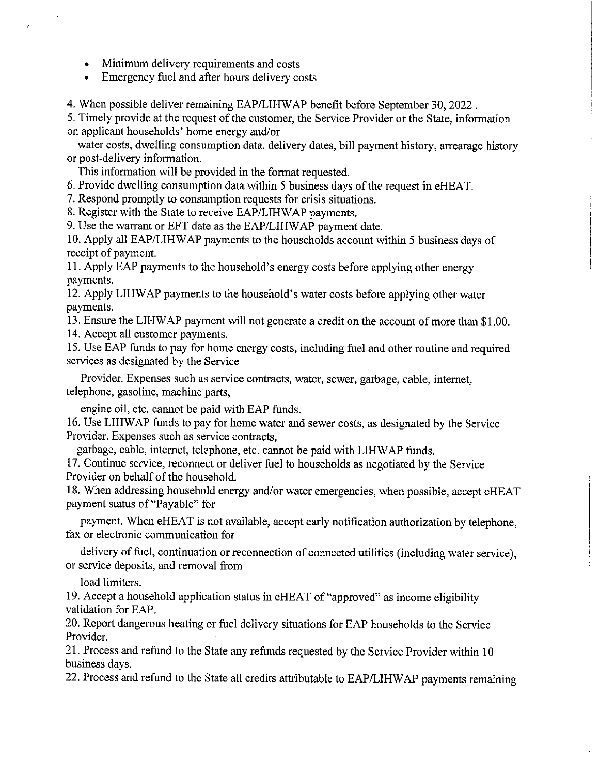- Minimum delivery requirements and costs  $\bullet$
- Emergency fuel and after hours delivery costs

4. When possible deliver remaining EAP/LIHWAP benefit before September 30, 2022.

5. Timely provide at the request of the customer, the Service Provider or the State, information on applicant households' home energy and/or

water costs, dwelling consumption data, delivery dates, bill payment history, arrearage history or post-delivery information.

This information will be provided in the format requested.

6. Provide dwelling consumption data within 5 business days of the request in eHEAT.

7. Respond promptly to consumption requests for crisis situations.

8. Register with the State to receive EAP/LIHWAP payments.

9. Use the warrant or EFT date as the EAP/LIHWAP payment date.

10. Apply all EAP/LIHWAP payments to the households account within 5 business days of receipt of payment.

11. Apply EAP payments to the household's energy costs before applying other energy payments.

12. Apply LIHWAP payments to the household's water costs before applying other water payments.

13. Ensure the LIHWAP payment will not generate a credit on the account of more than \$1.00. 14. Accept all customer payments.

15. Use EAP funds to pay for home energy costs, including fuel and other routine and required services as designated by the Service

Provider. Expenses such as service contracts, water, sewer, garbage, cable, internet, telephone, gasoline, machine parts,

engine oil, etc. cannot be paid with EAP funds.

16. Use LIHWAP funds to pay for home water and sewer costs, as designated by the Service Provider. Expenses such as service contracts,

garbage, cable, internet, telephone, etc. cannot be paid with LIHWAP funds.

17. Continue service, reconnect or deliver fuel to households as negotiated by the Service Provider on behalf of the household.

18. When addressing household energy and/or water emergencies, when possible, accept eHEAT payment status of "Payable" for

payment. When eHEAT is not available, accept early notification authorization by telephone, fax or electronic communication for

delivery of fuel, continuation or reconnection of connected utilities (including water service), or service deposits, and removal from

load limiters.

19. Accept a household application status in eHEAT of "approved" as income eligibility validation for EAP.

20. Report dangerous heating or fuel delivery situations for EAP households to the Service Provider.

21. Process and refund to the State any refunds requested by the Service Provider within 10 business days.

22. Process and refund to the State all credits attributable to EAP/LIHWAP payments remaining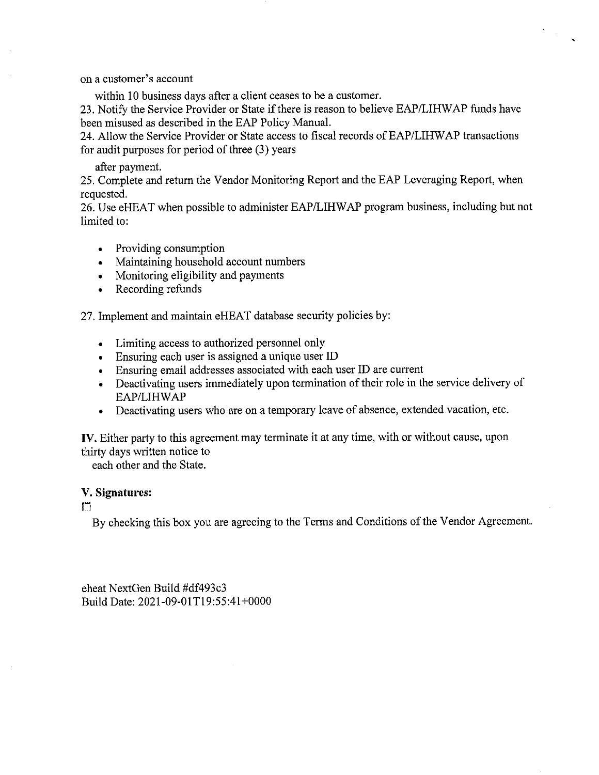on a customer's account

within 10 business days after a client ceases to be a customer.

23. Notify the Service Provider or State if there is reason to believe EAP/LIHWAP funds have been misused as described in the EAP Policy Manual.

 $\sim 10^{-1}$ 

24. Allow the Service Provider or State access to fiscal records of EAP/LIHWAP transactions for audit purposes for period of three (3) years

#### after payment.

25. Complete and return the Vendor Monitoring Report and the EAP Leveraging Report, when requested.

26. Use eHEAT when possible to administer EAP/LIHWAP program business, including but not limited to:

- Providing consumption
- Maintaining household account numbers
- Monitoring eligibility and payments
- Recording refunds

27. Implement and maintain eHEAT database security policies by:

- Limiting access to authorized personnel only
- Ensuring each user is assigned a unique user ID
- Ensuring email addresses associated with each user ID are current
- Deactivating users immediately upon termination of their role in the service delivery of EAP/LIHWAP
- Deactivating users who are on a temporary leave of absence, extended vacation, etc.  $\bullet$

IV. Either party to this agreement may terminate it at any time, with or without cause, upon thirty days written notice to

each other and the State.

#### V. Signatures:

 $\Gamma$ 

By checking this box you are agreeing to the Terms and Conditions of the Vendor Agreement.

eheat NextGen Build #df493c3 Build Date: 2021-09-01T19:55:41+0000